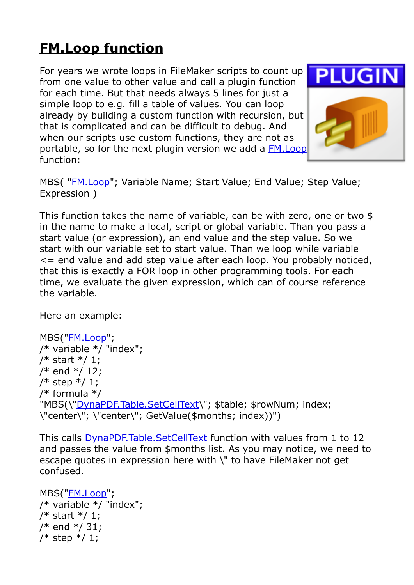## **[FM.Loop function](https://www.mbs-plugins.com/archive/2018-03-30/New_FMLoop_function/monkeybreadsoftware_blog_filemaker)**

For years we wrote loops in FileMaker scripts to count up from one value to other value and call a plugin function for each time. But that needs always 5 lines for just a simple loop to e.g. fill a table of values. You can loop already by building a custom function with recursion, but that is complicated and can be difficult to debug. And when our scripts use custom functions, they are not as portable, so for the next plugin version we add a [FM.Loop](http://www.mbsplugins.eu/FMLoop.shtml) function:



MBS( "[FM.Loop"](http://www.mbsplugins.eu/FMLoop.shtml); Variable Name; Start Value; End Value; Step Value; Expression )

This function takes the name of variable, can be with zero, one or two \$ in the name to make a local, script or global variable. Than you pass a start value (or expression), an end value and the step value. So we start with our variable set to start value. Than we loop while variable <= end value and add step value after each loop. You probably noticed, that this is exactly a FOR loop in other programming tools. For each time, we evaluate the given expression, which can of course reference the variable.

Here an example:

```
MBS("FM.Loop"; 
/* variable */ "index"; 
/* start */ 1;/* end */ 12; 
/* step */ 1;/* formula */ 
"DynaPDF.Table.SetCellText\"; $table; $rowNum; index;
\"center\"; \"center\"; GetValue($months; index))")
```
This calls [DynaPDF.Table.SetCellText](http://www.mbsplugins.eu/DynaPDFTableSetCellText.shtml) function with values from 1 to 12 and passes the value from \$months list. As you may notice, we need to escape quotes in expression here with \" to have FileMaker not get confused.

```
MBS("FM.Loop"; 
/* variable */ "index"; 
/* start */ 1; 
/* end */ 31; 
/* step */ 1;
```